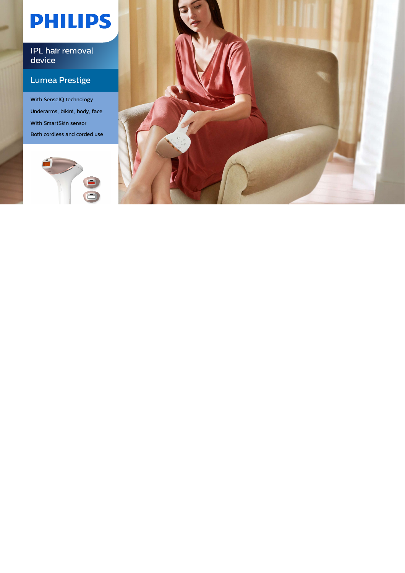# **PHILIPS**

### IPL hair removal device

### Lumea Prestige

With SenseIQ technology Underarms, bikini, body, face With SmartSkin sensor Both cordless and corded use



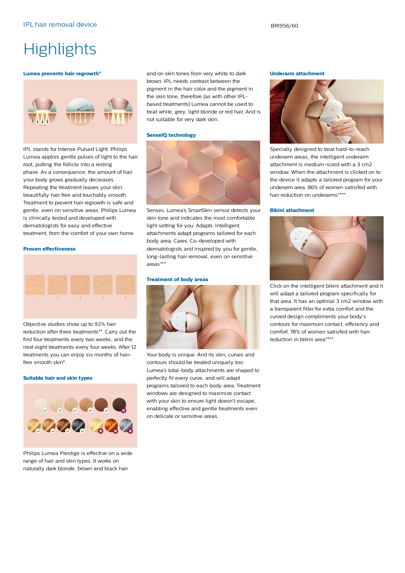# **Highlights**

#### **Lumea prevents hair regrowth\***



IPL stands for Intense Pulsed Light. Philips Lumea applies gentle pulses of light to the hair root, putting the follicle into a resting phase. As a consequence, the amount of hair your body grows gradually decreases. Repeating the treatment leaves your skin beautifully hair free and touchably smooth. Treatment to prevent hair regrowth is safe and gentle, even on sensitive areas. Philips Lumea is clinically tested and developed with dermatologists for easy and effective treatment, from the comfort of your own home.

### **Proven effectiveness**



Objective studies show up to 92% hair reduction after three treatments\*\*. Carry out the first four treatments every two weeks, and the next eight treatments every four weeks. After 12 treatments you can enjoy six months of hairfree smooth skin\*.

### **Suitable hair and skin types**



Philips Lumea Prestige is effective on a wide range of hair and skin types. It works on naturally dark blonde, brown and black hair

and on skin tones from very white to dark brown. IPL needs contrast between the pigment in the hair color and the pigment in the skin tone, therefore (as with other IPLbased treatments) Lumea cannot be used to treat white, grey, light blonde or red hair. And is not suitable for very dark skin.

#### **SenseIQ technology**



Senses. Lumea's SmartSkin sensor detects your skin tone and indicates the most comfortable light setting for you. Adapts. Intelligent attachments adapt programs tailored for each body area. Cares. Co-developed with dermatologists and inspired by you for gentle, long-lasting hair removal, even on sensitive areas\*\*\*.

### **Treatment of body areas**



Your body is unique. And its skin, curves and contours should be treated uniquely too. Lumea's total-body attachments are shaped to perfectly fit every curve, and will adapt programs tailored to each body area. Treatment windows are designed to maximize contact with your skin to ensure light doesn't escape, enabling effective and gentle treatments even on delicate or sensitive areas.

### **Underarm attachment**



Specially designed to treat hard-to-reach underarm areas, the intelligent underarm attachment is medium-sized with a 3 cm2 window. When the attachment is clicked on to the device it adapts a tailored program for your underarm area. 86% of women satisifed with hair reduction on underarms\*\*\*\*.

### **Bikini attachment**



Click on the intelligent bikini attachment and it will adapt a tailored program specifically for that area. It has an optimal 3 cm2 window with a transparent filter for extra comfort and the curved design compliments your body's contours for maximum contact, efficiency and comfort. 78% of women satisifed with hair reduction in bikini area\*\*\*\*.